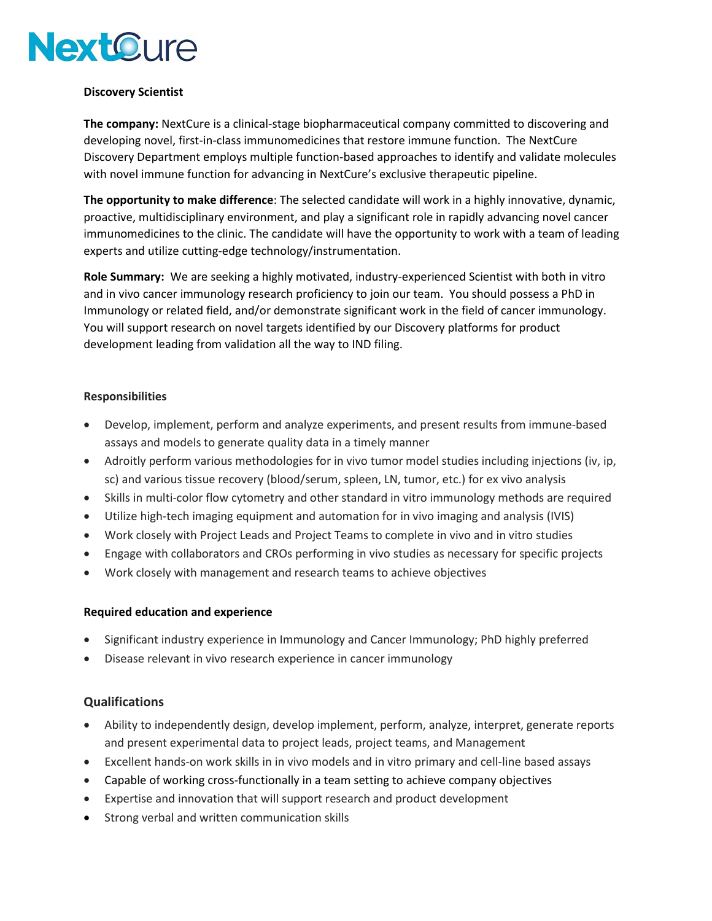# **NextOure**

## **Discovery Scientist**

**The company:** NextCure is a clinical-stage biopharmaceutical company committed to discovering and developing novel, first-in-class immunomedicines that restore immune function. The NextCure Discovery Department employs multiple function-based approaches to identify and validate molecules with novel immune function for advancing in NextCure's exclusive therapeutic pipeline.

**The opportunity to make difference**: The selected candidate will work in a highly innovative, dynamic, proactive, multidisciplinary environment, and play a significant role in rapidly advancing novel cancer immunomedicines to the clinic. The candidate will have the opportunity to work with a team of leading experts and utilize cutting-edge technology/instrumentation.

**Role Summary:** We are seeking a highly motivated, industry-experienced Scientist with both in vitro and in vivo cancer immunology research proficiency to join our team. You should possess a PhD in Immunology or related field, and/or demonstrate significant work in the field of cancer immunology. You will support research on novel targets identified by our Discovery platforms for product development leading from validation all the way to IND filing.

## **Responsibilities**

- Develop, implement, perform and analyze experiments, and present results from immune-based assays and models to generate quality data in a timely manner
- Adroitly perform various methodologies for in vivo tumor model studies including injections (iv, ip, sc) and various tissue recovery (blood/serum, spleen, LN, tumor, etc.) for ex vivo analysis
- Skills in multi-color flow cytometry and other standard in vitro immunology methods are required
- Utilize high-tech imaging equipment and automation for in vivo imaging and analysis (IVIS)
- Work closely with Project Leads and Project Teams to complete in vivo and in vitro studies
- Engage with collaborators and CROs performing in vivo studies as necessary for specific projects
- Work closely with management and research teams to achieve objectives

## **Required education and experience**

- Significant industry experience in Immunology and Cancer Immunology; PhD highly preferred
- Disease relevant in vivo research experience in cancer immunology

## **Qualifications**

- Ability to independently design, develop implement, perform, analyze, interpret, generate reports and present experimental data to project leads, project teams, and Management
- Excellent hands-on work skills in in vivo models and in vitro primary and cell-line based assays
- Capable of working cross-functionally in a team setting to achieve company objectives
- Expertise and innovation that will support research and product development
- Strong verbal and written communication skills